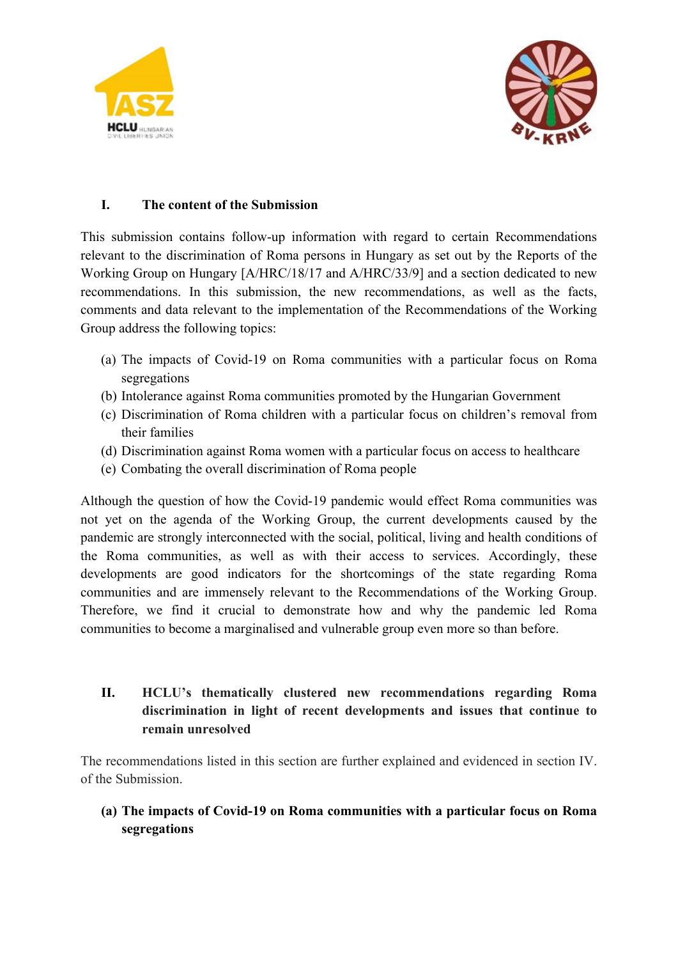



### **I. The content of the Submission**

This submission contains follow-up information with regard to certain Recommendations relevant to the discrimination of Roma persons in Hungary as set out by the Reports of the Working Group on Hungary [A/HRC/18/17 and A/HRC/33/9] and <sup>a</sup> section dedicated to new recommendations. In this submission, the new recommendations, as well as the facts, comments and data relevant to the implementation of the Recommendations of the Working Group address the following topics:

- (a) The impacts of Covid-19 on Roma communities with <sup>a</sup> particular focus on Roma segregations
- (b) Intolerance against Roma communities promoted by the Hungarian Government
- (c) Discrimination of Roma children with <sup>a</sup> particular focus on children'<sup>s</sup> removal from their families
- (d) Discrimination against Roma women with <sup>a</sup> particular focus on access to healthcare
- (e) Combating the overall discrimination of Roma people

Although the question of how the Covid-19 pandemic would effect Roma communities was not ye<sup>t</sup> on the agenda of the Working Group, the current developments caused by the pandemic are strongly interconnected with the social, political, living and health conditions of the Roma communities, as well as with their access to services. Accordingly, these developments are good indicators for the shortcomings of the state regarding Roma communities and are immensely relevant to the Recommendations of the Working Group. Therefore, we find it crucial to demonstrate how and why the pandemic led Roma communities to become <sup>a</sup> marginalised and vulnerable group even more so than before.

# **II. HCLU'<sup>s</sup> thematically clustered new recommendations regarding Roma discrimination in light of recent developments and issues that continue to remain unresolved**

The recommendations listed in this section are further explained and evidenced in section IV. of the Submission.

## **(a) The impacts of Covid-19 on Roma communities with <sup>a</sup> particular focus on Roma segregations**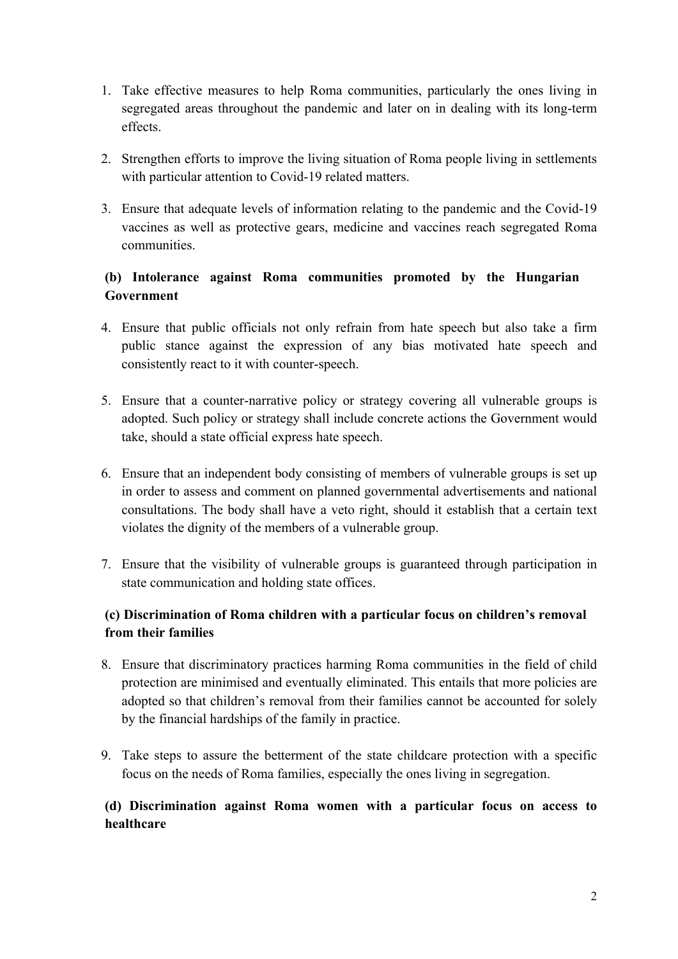- 1. Take effective measures to help Roma communities, particularly the ones living in segregated areas throughout the pandemic and later on in dealing with its long-term effects.
- 2. Strengthen efforts to improve the living situation of Roma people living in settlements with particular attention to Covid-19 related matters.
- 3. Ensure that adequate levels of information relating to the pandemic and the Covid-19 vaccines as well as protective gears, medicine and vaccines reach segregated Roma communities.

## **(b) Intolerance against Roma communities promoted by the Hungarian Government**

- 4. Ensure that public officials not only refrain from hate speech but also take <sup>a</sup> firm public stance against the expression of any bias motivated hate speech and consistently react to it with counter-speech.
- 5. Ensure that <sup>a</sup> counter-narrative policy or strategy covering all vulnerable groups is adopted. Such policy or strategy shall include concrete actions the Government would take, should <sup>a</sup> state official express hate speech.
- 6. Ensure that an independent body consisting of members of vulnerable groups is set up in order to assess and comment on planned governmental advertisements and national consultations. The body shall have <sup>a</sup> veto right, should it establish that <sup>a</sup> certain text violates the dignity of the members of <sup>a</sup> vulnerable group.
- 7. Ensure that the visibility of vulnerable groups is guaranteed through participation in state communication and holding state offices.

### **(c) Discrimination of Roma children with <sup>a</sup> particular focus on children'<sup>s</sup> removal from their families**

- 8. Ensure that discriminatory practices harming Roma communities in the field of child protection are minimised and eventually eliminated. This entails that more policies are adopted so that children'<sup>s</sup> removal from their families cannot be accounted for solely by the financial hardships of the family in practice.
- 9. Take steps to assure the betterment of the state childcare protection with <sup>a</sup> specific focus on the needs of Roma families, especially the ones living in segregation.

### **(d) Discrimination against Roma women with <sup>a</sup> particular focus on access to healthcare**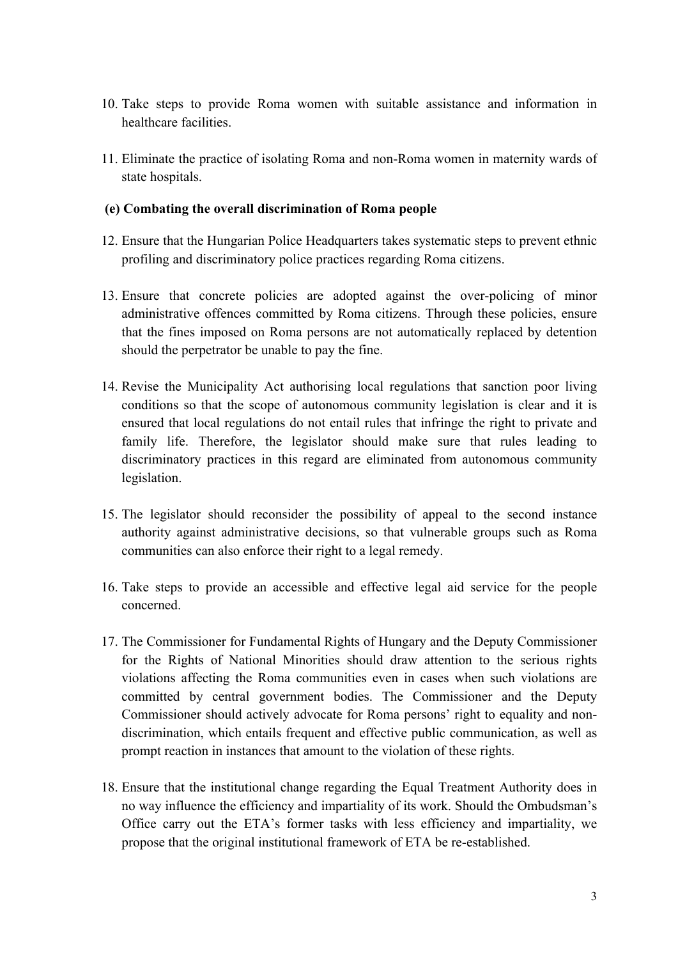- 10. Take steps to provide Roma women with suitable assistance and information in healthcare facilities.
- 11. Eliminate the practice of isolating Roma and non-Roma women in maternity wards of state hospitals.

#### **(e) Combating the overall discrimination of Roma people**

- 12. Ensure that the Hungarian Police Headquarters takes systematic steps to preven<sup>t</sup> ethnic profiling and discriminatory police practices regarding Roma citizens.
- 13. Ensure that concrete policies are adopted against the over-policing of minor administrative offences committed by Roma citizens. Through these policies, ensure that the fines imposed on Roma persons are not automatically replaced by detention should the perpetrator be unable to pay the fine.
- 14. Revise the Municipality Act authorising local regulations that sanction poor living conditions so that the scope of autonomous community legislation is clear and it is ensured that local regulations do not entail rules that infringe the right to private and family life. Therefore, the legislator should make sure that rules leading to discriminatory practices in this regard are eliminated from autonomous community legislation.
- 15. The legislator should reconsider the possibility of appeal to the second instance authority against administrative decisions, so that vulnerable groups such as Roma communities can also enforce their right to <sup>a</sup> legal remedy.
- 16. Take steps to provide an accessible and effective legal aid service for the people concerned.
- 17. The Commissioner for Fundamental Rights of Hungary and the Deputy Commissioner for the Rights of National Minorities should draw attention to the serious rights violations affecting the Roma communities even in cases when such violations are committed by central governmen<sup>t</sup> bodies. The Commissioner and the Deputy Commissioner should actively advocate for Roma persons' right to equality and nondiscrimination, which entails frequent and effective public communication, as well as promp<sup>t</sup> reaction in instances that amount to the violation of these rights.
- 18. Ensure that the institutional change regarding the Equal Treatment Authority does in no way influence the efficiency and impartiality of its work. Should the Ombudsman'<sup>s</sup> Office carry out the ETA'<sup>s</sup> former tasks with less efficiency and impartiality, we propose that the original institutional framework of ETA be re-established.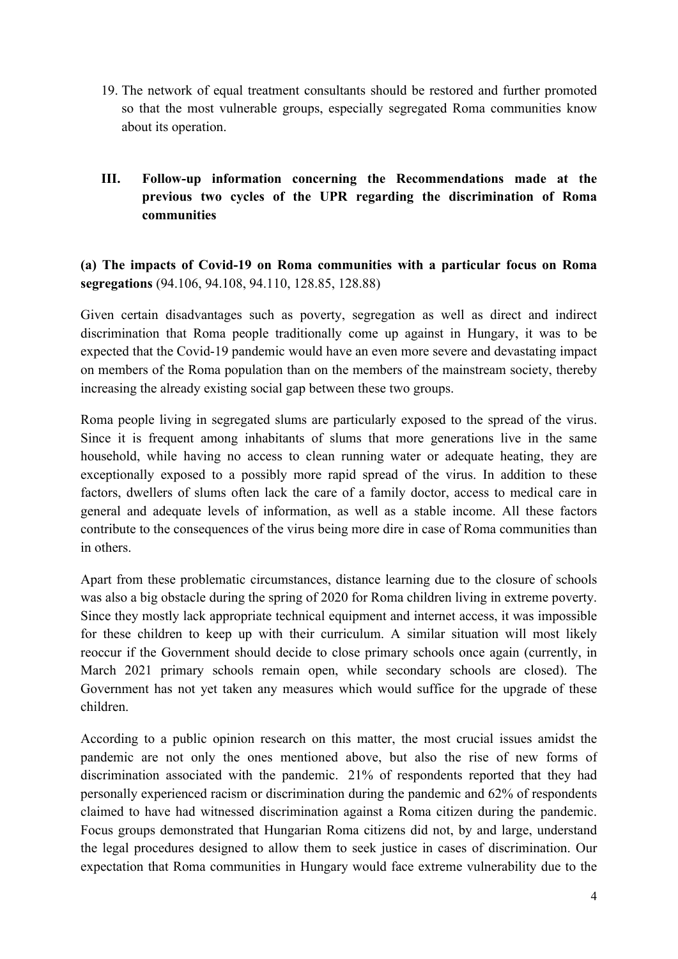- 19. The network of equal treatment consultants should be restored and further promoted so that the most vulnerable groups, especially segregated Roma communities know about its operation.
- **III. Follow-up information concerning the Recommendations made at the previous two cycles of the UPR regarding the discrimination of Roma communities**

**(a) The impacts of Covid-19 on Roma communities with <sup>a</sup> particular focus on Roma segregations** (94.106, 94.108, 94.110, 128.85, 128.88)

Given certain disadvantages such as poverty, segregation as well as direct and indirect discrimination that Roma people traditionally come up against in Hungary, it was to be expected that the Covid-19 pandemic would have an even more severe and devastating impact on members of the Roma population than on the members of the mainstream society, thereby increasing the already existing social gap between these two groups.

Roma people living in segregated slums are particularly exposed to the spread of the virus. Since it is frequent among inhabitants of slums that more generations live in the same household, while having no access to clean running water or adequate heating, they are exceptionally exposed to <sup>a</sup> possibly more rapid spread of the virus. In addition to these factors, dwellers of slums often lack the care of <sup>a</sup> family doctor, access to medical care in general and adequate levels of information, as well as <sup>a</sup> stable income. All these factors contribute to the consequences of the virus being more dire in case of Roma communities than in others.

Apart from these problematic circumstances, distance learning due to the closure of schools was also <sup>a</sup> big obstacle during the spring of 2020 for Roma children living in extreme poverty. Since they mostly lack appropriate technical equipment and internet access, it was impossible for these children to keep up with their curriculum. A similar situation will most likely reoccur if the Government should decide to close primary schools once again (currently, in March 2021 primary schools remain open, while secondary schools are closed). The Government has not ye<sup>t</sup> taken any measures which would suffice for the upgrade of these children.

According to <sup>a</sup> public opinion research on this matter, the most crucial issues amidst the pandemic are not only the ones mentioned above, but also the rise of new forms of discrimination associated with the pandemic. 21% of respondents reported that they had personally experienced racism or discrimination during the pandemic and 62% of respondents claimed to have had witnessed discrimination against <sup>a</sup> Roma citizen during the pandemic. Focus groups demonstrated that Hungarian Roma citizens did not, by and large, understand the legal procedures designed to allow them to seek justice in cases of discrimination. Our expectation that Roma communities in Hungary would face extreme vulnerability due to the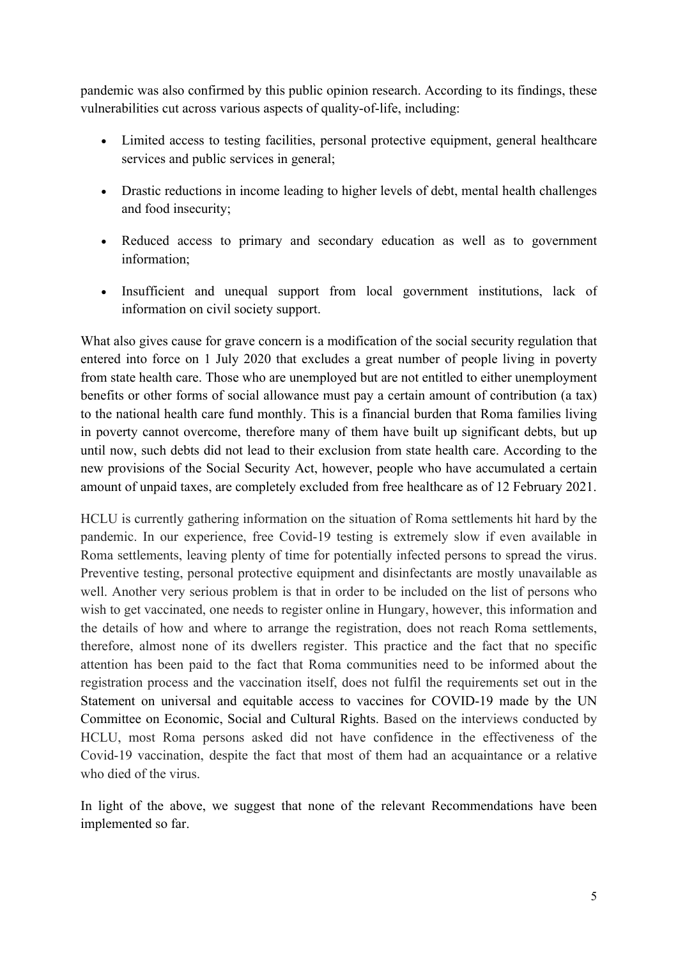pandemic was also confirmed by this public opinion research. According to its findings, these vulnerabilities cut across various aspects of quality-of-life, including:

- Limited access to testing facilities, personal protective equipment, general healthcare services and public services in general;
- Drastic reductions in income leading to higher levels of debt, mental health challenges and food insecurity;
- Reduced access to primary and secondary education as well as to government information;
- Insufficient and unequal support from local government institutions, lack of information on civil society support.

What also gives cause for grave concern is <sup>a</sup> modification of the social security regulation that entered into force on 1 July 2020 that excludes <sup>a</sup> grea<sup>t</sup> number of people living in poverty from state health care. Those who are unemployed but are not entitled to either unemployment benefits or other forms of social allowance must pay <sup>a</sup> certain amount of contribution (a tax) to the national health care fund monthly. This is <sup>a</sup> financial burden that Roma families living in poverty cannot overcome, therefore many of them have built up significant debts, but up until now, such debts did not lead to their exclusion from state health care. According to the new provisions of the Social Security Act, however, people who have accumulated <sup>a</sup> certain amount of unpaid taxes, are completely excluded from free healthcare as of 12 February 2021.

HCLU is currently gathering information on the situation of Roma settlements hit hard by the pandemic. In our experience, free Covid-19 testing is extremely slow if even available in Roma settlements, leaving plenty of time for potentially infected persons to spread the virus. Preventive testing, personal protective equipment and disinfectants are mostly unavailable as well. Another very serious problem is that in order to be included on the list of persons who wish to ge<sup>t</sup> vaccinated, one needs to register online in Hungary, however, this information and the details of how and where to arrange the registration, does not reach Roma settlements, therefore, almost none of its dwellers register. This practice and the fact that no specific attention has been paid to the fact that Roma communities need to be informed about the registration process and the vaccination itself, does not fulfil the requirements set out in the Statement on universal and equitable access to vaccines for COVID-19 made by the UN Committee on Economic, Social and Cultural Rights. Based on the interviews conducted by HCLU, most Roma persons asked did not have confidence in the effectiveness of the Covid-19 vaccination, despite the fact that most of them had an acquaintance or <sup>a</sup> relative who died of the virus.

In light of the above, we sugges<sup>t</sup> that none of the relevant Recommendations have been implemented so far.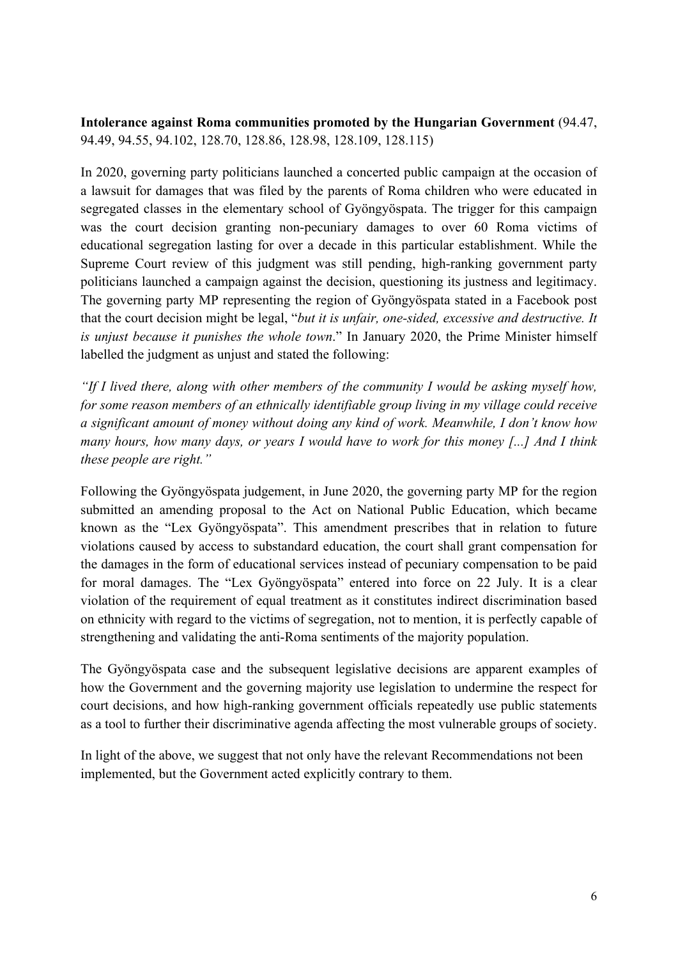**(b) Intolerance against Roma communities promoted by the Hungarian Government** (94.47, 94.49, 94.55, 94.102, 128.70, 128.86, 128.98, 128.109, 128.115)

In 2020, governing party politicians launched <sup>a</sup> concerted public campaign at the occasion of <sup>a</sup> lawsuit for damages that was filed by the parents of Roma children who were educated in segregated classes in the elementary school of Gyöngyöspata. The trigger for this campaign was the court decision granting non-pecuniary damages to over 60 Roma victims of educational segregation lasting for over <sup>a</sup> decade in this particular establishment. While the Supreme Court review of this judgment was still pending, high-ranking governmen<sup>t</sup> party politicians launched <sup>a</sup> campaign against the decision, questioning its justness and legitimacy. The governing party MP representing the region of Gyöngyöspata stated in <sup>a</sup> Facebook pos<sup>t</sup> that the court decision might be legal, "*but it is unfair, one-sided, excessive and destructive. It is unjust because it punishes the whole town*." In January 2020, the Prime Minister himself labelled the judgment as unjust and stated the following:

*"If I lived there, along with other members of the community I would be asking myself how, for some reason members of an ethnically identifiable group living in my village could receive <sup>a</sup> significant amount of money without doing any kind of work. Meanwhile, I don'<sup>t</sup> know how many hours, how many days, or years I would have to work for this money [...] And I think these people are right."* 

Following the Gyöngyöspata judgement, in June 2020, the governing party MP for the region submitted an amending proposal to the Act on National Public Education, which became known as the "Lex Gyöngyöspata". This amendment prescribes that in relation to future violations caused by access to substandard education, the court shall gran<sup>t</sup> compensation for the damages in the form of educational services instead of pecuniary compensation to be paid for moral damages. The "Lex Gyöngyöspata" entered into force on 22 July. It is <sup>a</sup> clear violation of the requirement of equal treatment as it constitutes indirect discrimination based on ethnicity with regard to the victims of segregation, not to mention, it is perfectly capable of strengthening and validating the anti-Roma sentiments of the majority population.

The Gyöngyöspata case and the subsequent legislative decisions are apparen<sup>t</sup> examples of how the Government and the governing majority use legislation to undermine the respec<sup>t</sup> for court decisions, and how high-ranking governmen<sup>t</sup> officials repeatedly use public statements as <sup>a</sup> tool to further their discriminative agenda affecting the most vulnerable groups of society.

In light of the above, we sugges<sup>t</sup> that not only have the relevant Recommendations not been implemented, but the Government acted explicitly contrary to them.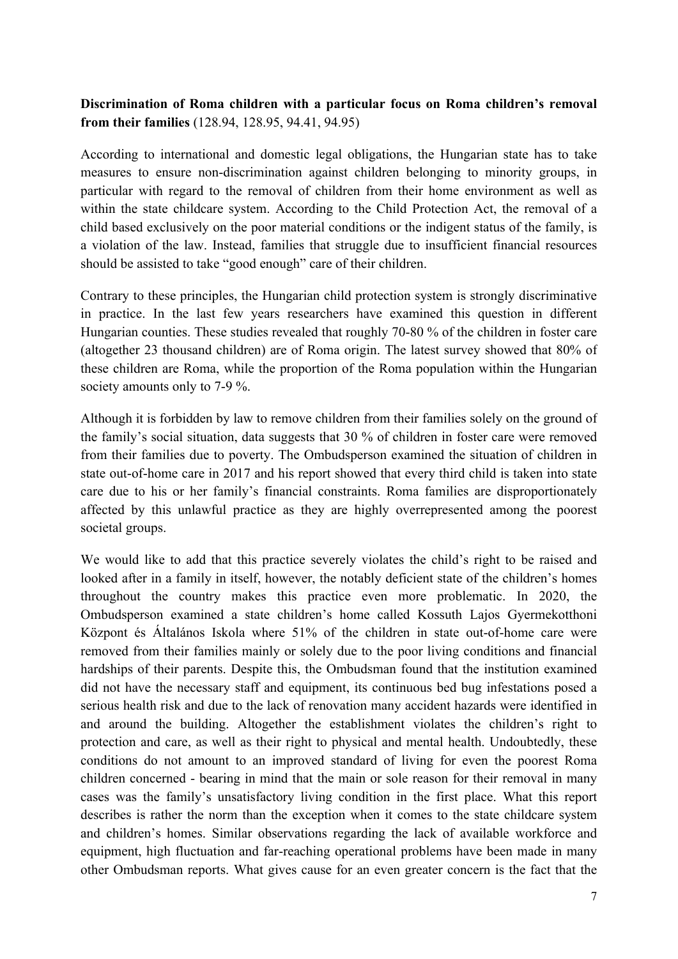## **(c) Discrimination of Roma children with <sup>a</sup> particular focus on Roma children'<sup>s</sup> removal from their families** (128.94, 128.95, 94.41, 94.95)

According to international and domestic legal obligations, the Hungarian state has to take measures to ensure non-discrimination against children belonging to minority groups, in particular with regard to the removal of children from their home environment as well as within the state childcare system. According to the Child Protection Act, the removal of <sup>a</sup> child based exclusively on the poor material conditions or the indigent status of the family, is <sup>a</sup> violation of the law. Instead, families that struggle due to insufficient financial resources should be assisted to take "good enough" care of their children.

Contrary to these principles, the Hungarian child protection system is strongly discriminative in practice. In the last few years researchers have examined this question in different Hungarian counties. These studies revealed that roughly 70-80 % of the children in foster care (altogether 23 thousand children) are of Roma origin. The latest survey showed that 80% of these children are Roma, while the proportion of the Roma population within the Hungarian society amounts only to 7-9 %.

Although it is forbidden by law to remove children from their families solely on the ground of the family'<sup>s</sup> social situation, data suggests that 30 % of children in foster care were removed from their families due to poverty. The Ombudsperson examined the situation of children in state out-of-home care in 2017 and his repor<sup>t</sup> showed that every third child is taken into state care due to his or her family'<sup>s</sup> financial constraints. Roma families are disproportionately affected by this unlawful practice as they are highly overrepresented among the poores<sup>t</sup> societal groups.

We would like to add that this practice severely violates the child'<sup>s</sup> right to be raised and looked after in <sup>a</sup> family in itself, however, the notably deficient state of the children'<sup>s</sup> homes throughout the country makes this practice even more problematic. In 2020, the Ombudsperson examined <sup>a</sup> state children'<sup>s</sup> home called Kossuth Lajos Gyermekotthoni Központ és Általános Iskola where 51% of the children in state out-of-home care were removed from their families mainly or solely due to the poor living conditions and financial hardships of their parents. Despite this, the Ombudsman found that the institution examined did not have the necessary staff and equipment, its continuous bed bug infestations posed <sup>a</sup> serious health risk and due to the lack of renovation many accident hazards were identified in and around the building. Altogether the establishment violates the children'<sup>s</sup> right to protection and care, as well as their right to physical and mental health. Undoubtedly, these conditions do not amount to an improved standard of living for even the poores<sup>t</sup> Roma children concerned - bearing in mind that the main or sole reason for their removal in many cases was the family'<sup>s</sup> unsatisfactory living condition in the first place. What this repor<sup>t</sup> describes is rather the norm than the exception when it comes to the state childcare system and children'<sup>s</sup> homes. Similar observations regarding the lack of available workforce and equipment, high fluctuation and far-reaching operational problems have been made in many other Ombudsman reports. What gives cause for an even greater concern is the fact that the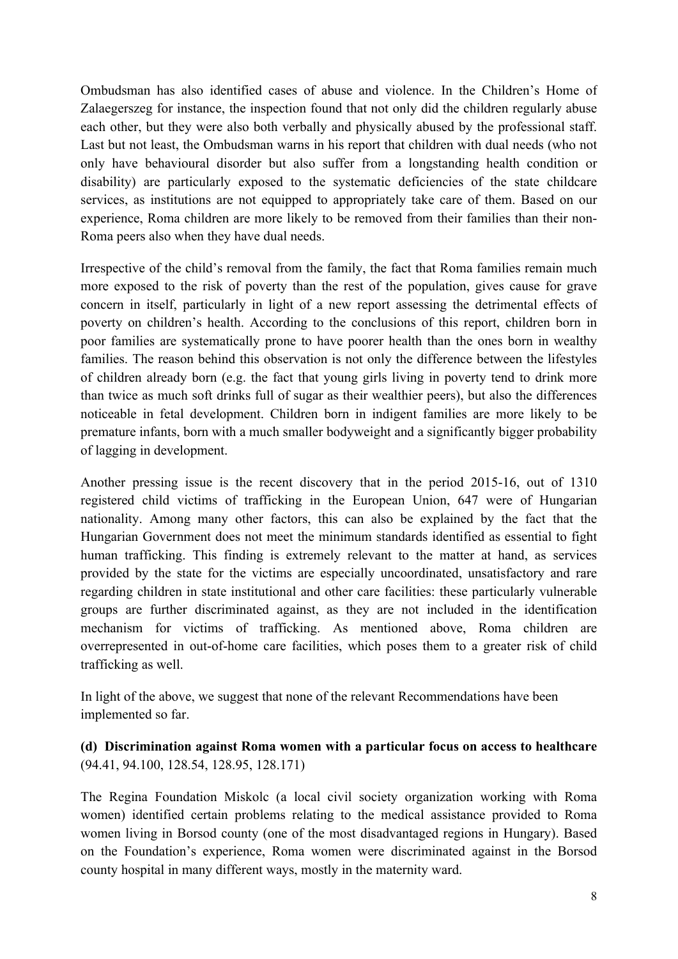Ombudsman has also identified cases of abuse and violence. In the Children'<sup>s</sup> Home of Zalaegerszeg for instance, the inspection found that not only did the children regularly abuse each other, but they were also both verbally and physically abused by the professional staff. Last but not least, the Ombudsman warns in his repor<sup>t</sup> that children with dual needs (who not only have behavioural disorder but also suffer from <sup>a</sup> longstanding health condition or disability) are particularly exposed to the systematic deficiencies of the state childcare services, as institutions are not equipped to appropriately take care of them. Based on our experience, Roma children are more likely to be removed from their families than their non-Roma peers also when they have dual needs.

Irrespective of the child'<sup>s</sup> removal from the family, the fact that Roma families remain much more exposed to the risk of poverty than the rest of the population, gives cause for grave concern in itself, particularly in light of <sup>a</sup> new repor<sup>t</sup> assessing the detrimental effects of poverty on children'<sup>s</sup> health. According to the conclusions of this report, children born in poor families are systematically prone to have poorer health than the ones born in wealthy families. The reason behind this observation is not only the difference between the lifestyles of children already born (e.g. the fact that young girls living in poverty tend to drink more than twice as much soft drinks full of sugar as their wealthier peers), but also the differences noticeable in fetal development. Children born in indigent families are more likely to be premature infants, born with <sup>a</sup> much smaller bodyweight and <sup>a</sup> significantly bigger probability of lagging in development.

Another pressing issue is the recent discovery that in the period 2015-16, out of 1310 registered child victims of trafficking in the European Union, 647 were of Hungarian nationality. Among many other factors, this can also be explained by the fact that the Hungarian Government does not meet the minimum standards identified as essential to fight human trafficking. This finding is extremely relevant to the matter at hand, as services provided by the state for the victims are especially uncoordinated, unsatisfactory and rare regarding children in state institutional and other care facilities: these particularly vulnerable groups are further discriminated against, as they are not included in the identification mechanism for victims of trafficking. As mentioned above, Roma children are overrepresented in out-of-home care facilities, which poses them to <sup>a</sup> greater risk of child trafficking as well.

In light of the above, we sugges<sup>t</sup> that none of the relevant Recommendations have been implemented so far.

**(d) Discrimination against Roma women with <sup>a</sup> particular focus on access to healthcare** (94.41, 94.100, 128.54, 128.95, 128.171)

The Regina Foundation Miskolc (a local civil society organization working with Roma women) identified certain problems relating to the medical assistance provided to Roma women living in Borsod county (one of the most disadvantaged regions in Hungary). Based on the Foundation'<sup>s</sup> experience, Roma women were discriminated against in the Borsod county hospital in many different ways, mostly in the maternity ward.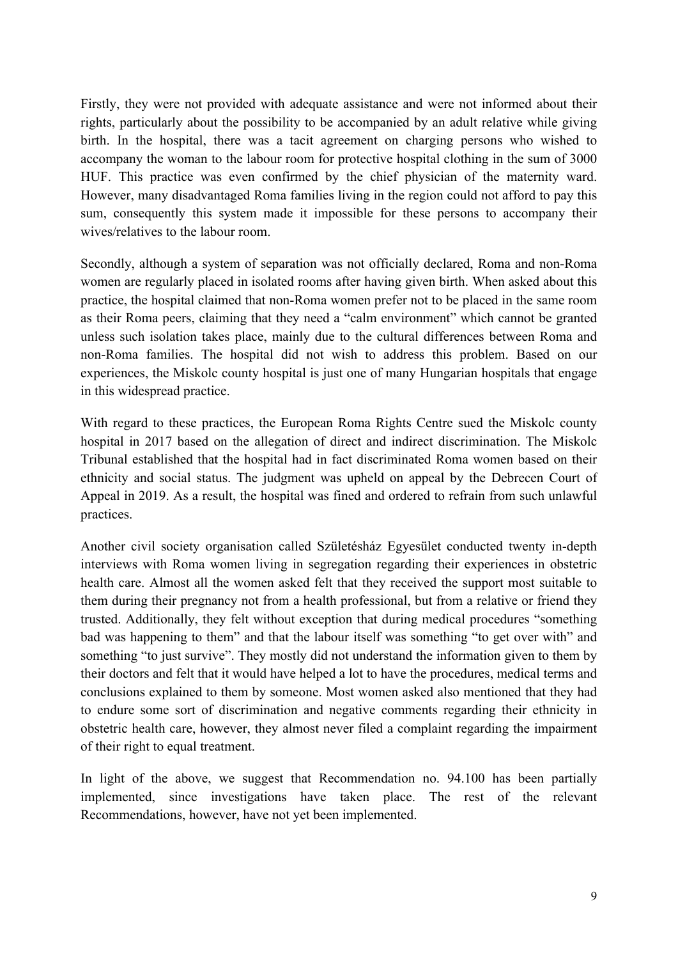Firstly, they were not provided with adequate assistance and were not informed about their rights, particularly about the possibility to be accompanied by an adult relative while giving birth. In the hospital, there was <sup>a</sup> tacit agreemen<sup>t</sup> on charging persons who wished to accompany the woman to the labour room for protective hospital clothing in the sum of 3000 HUF. This practice was even confirmed by the chief physician of the maternity ward. However, many disadvantaged Roma families living in the region could not afford to pay this sum, consequently this system made it impossible for these persons to accompany their wives/relatives to the labour room.

Secondly, although <sup>a</sup> system of separation was not officially declared, Roma and non-Roma women are regularly placed in isolated rooms after having given birth. When asked about this practice, the hospital claimed that non-Roma women prefer not to be placed in the same room as their Roma peers, claiming that they need <sup>a</sup> "calm environment" which cannot be granted unless such isolation takes place, mainly due to the cultural differences between Roma and non-Roma families. The hospital did not wish to address this problem. Based on our experiences, the Miskolc county hospital is just one of many Hungarian hospitals that engage in this widespread practice.

With regard to these practices, the European Roma Rights Centre sued the Miskolc county hospital in 2017 based on the allegation of direct and indirect discrimination. The Miskolc Tribunal established that the hospital had in fact discriminated Roma women based on their ethnicity and social status. The judgment was upheld on appeal by the Debrecen Court of Appeal in 2019. As <sup>a</sup> result, the hospital was fined and ordered to refrain from such unlawful practices.

Another civil society organisation called Születésház Egyesület conducted twenty in-depth interviews with Roma women living in segregation regarding their experiences in obstetric health care. Almost all the women asked felt that they received the suppor<sup>t</sup> most suitable to them during their pregnancy not from <sup>a</sup> health professional, but from <sup>a</sup> relative or friend they trusted. Additionally, they felt without exception that during medical procedures "something bad was happening to them" and that the labour itself was something "to ge<sup>t</sup> over with" and something "to just survive". They mostly did not understand the information given to them by their doctors and felt that it would have helped <sup>a</sup> lot to have the procedures, medical terms and conclusions explained to them by someone. Most women asked also mentioned that they had to endure some sort of discrimination and negative comments regarding their ethnicity in obstetric health care, however, they almost never filed <sup>a</sup> complaint regarding the impairment of their right to equal treatment.

In light of the above, we suggest that Recommendation no. 94.100 has been partially implemented, since investigations have taken place. The rest of the relevant Recommendations, however, have not ye<sup>t</sup> been implemented.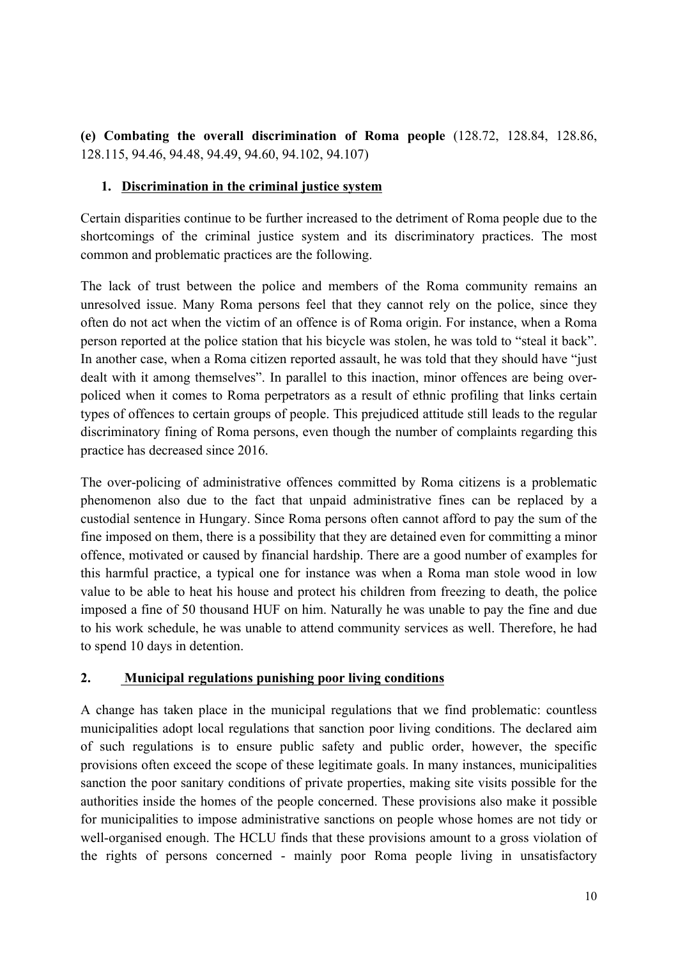**(e) Combating the overall discrimination of Roma people** (128.72, 128.84, 128.86, 128.115, 94.46, 94.48, 94.49, 94.60, 94.102, 94.107)

### **1. Discrimination in the criminal justice system**

Certain disparities continue to be further increased to the detriment of Roma people due to the shortcomings of the criminal justice system and its discriminatory practices. The most common and problematic practices are the following.

The lack of trust between the police and members of the Roma community remains an unresolved issue. Many Roma persons feel that they cannot rely on the police, since they often do not act when the victim of an offence is of Roma origin. For instance, when <sup>a</sup> Roma person reported at the police station that his bicycle was stolen, he was told to "steal it back". In another case, when <sup>a</sup> Roma citizen reported assault, he was told that they should have "just dealt with it among themselves". In parallel to this inaction, minor offences are being overpoliced when it comes to Roma perpetrators as <sup>a</sup> result of ethnic profiling that links certain types of offences to certain groups of people. This prejudiced attitude still leads to the regular discriminatory fining of Roma persons, even though the number of complaints regarding this practice has decreased since 2016.

The over-policing of administrative offences committed by Roma citizens is <sup>a</sup> problematic phenomenon also due to the fact that unpaid administrative fines can be replaced by <sup>a</sup> custodial sentence in Hungary. Since Roma persons often cannot afford to pay the sum of the fine imposed on them, there is <sup>a</sup> possibility that they are detained even for committing <sup>a</sup> minor offence, motivated or caused by financial hardship. There are <sup>a</sup> good number of examples for this harmful practice, <sup>a</sup> typical one for instance was when <sup>a</sup> Roma man stole wood in low value to be able to heat his house and protect his children from freezing to death, the police imposed <sup>a</sup> fine of 50 thousand HUF on him. Naturally he was unable to pay the fine and due to his work schedule, he was unable to attend community services as well. Therefore, he had to spend 10 days in detention.

#### **2. Municipal regulations punishing poor living conditions**

A change has taken place in the municipal regulations that we find problematic: countless municipalities adopt local regulations that sanction poor living conditions. The declared aim of such regulations is to ensure public safety and public order, however, the specific provisions often exceed the scope of these legitimate goals. In many instances, municipalities sanction the poor sanitary conditions of private properties, making site visits possible for the authorities inside the homes of the people concerned. These provisions also make it possible for municipalities to impose administrative sanctions on people whose homes are not tidy or well-organised enough. The HCLU finds that these provisions amount to <sup>a</sup> gross violation of the rights of persons concerned - mainly poor Roma people living in unsatisfactory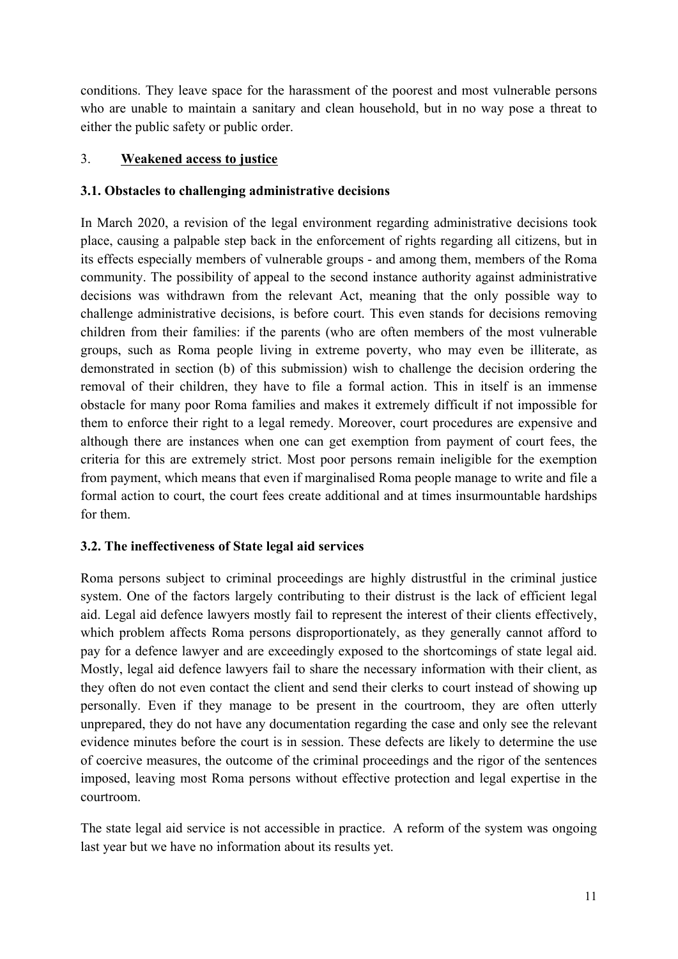conditions. They leave space for the harassment of the poores<sup>t</sup> and most vulnerable persons who are unable to maintain <sup>a</sup> sanitary and clean household, but in no way pose <sup>a</sup> threat to either the public safety or public order.

### 3. **Weakened access to justice**

### **3.1. Obstacles to challenging administrative decisions**

In March 2020, <sup>a</sup> revision of the legal environment regarding administrative decisions took place, causing <sup>a</sup> palpable step back in the enforcement of rights regarding all citizens, but in its effects especially members of vulnerable groups - and among them, members of the Roma community. The possibility of appeal to the second instance authority against administrative decisions was withdrawn from the relevant Act, meaning that the only possible way to challenge administrative decisions, is before court. This even stands for decisions removing children from their families: if the parents (who are often members of the most vulnerable groups, such as Roma people living in extreme poverty, who may even be illiterate, as demonstrated in section (b) of this submission) wish to challenge the decision ordering the removal of their children, they have to file <sup>a</sup> formal action. This in itself is an immense obstacle for many poor Roma families and makes it extremely difficult if not impossible for them to enforce their right to <sup>a</sup> legal remedy. Moreover, court procedures are expensive and although there are instances when one can ge<sup>t</sup> exemption from paymen<sup>t</sup> of court fees, the criteria for this are extremely strict. Most poor persons remain ineligible for the exemption from payment, which means that even if marginalised Roma people manage to write and file <sup>a</sup> formal action to court, the court fees create additional and at times insurmountable hardships for them.

### **3.2. The ineffectiveness of State legal aid services**

Roma persons subject to criminal proceedings are highly distrustful in the criminal justice system. One of the factors largely contributing to their distrust is the lack of efficient legal aid. Legal aid defence lawyers mostly fail to represen<sup>t</sup> the interest of their clients effectively, which problem affects Roma persons disproportionately, as they generally cannot afford to pay for <sup>a</sup> defence lawyer and are exceedingly exposed to the shortcomings of state legal aid. Mostly, legal aid defence lawyers fail to share the necessary information with their client, as they often do not even contact the client and send their clerks to court instead of showing up personally. Even if they manage to be presen<sup>t</sup> in the courtroom, they are often utterly unprepared, they do not have any documentation regarding the case and only see the relevant evidence minutes before the court is in session. These defects are likely to determine the use of coercive measures, the outcome of the criminal proceedings and the rigor of the sentences imposed, leaving most Roma persons without effective protection and legal expertise in the courtroom.

The state legal aid service is not accessible in practice. A reform of the system was ongoing last year but we have no information about its results yet.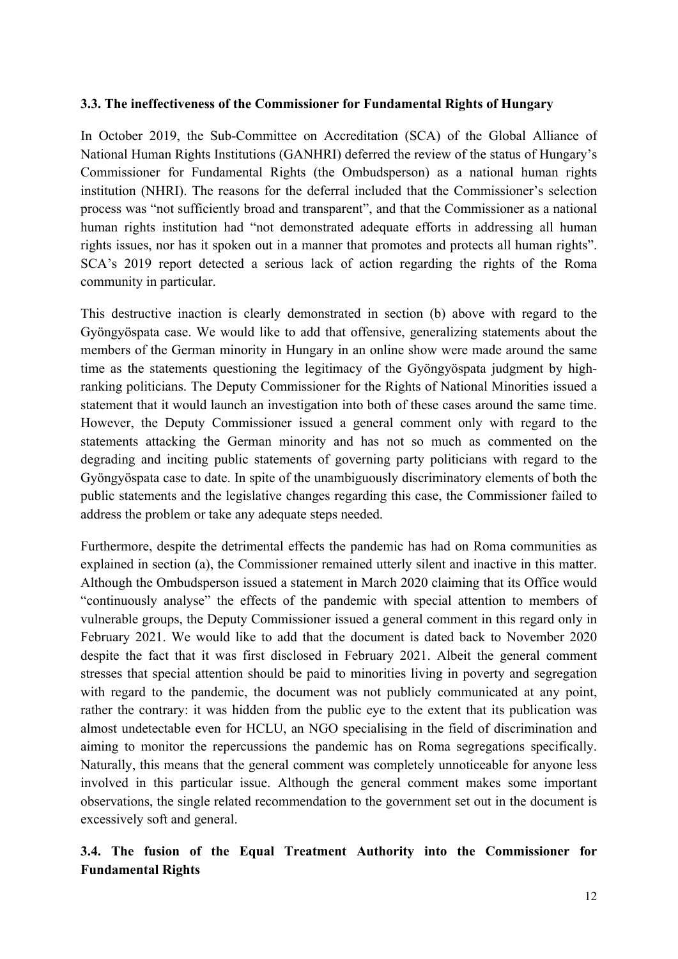#### **3.3. The ineffectiveness of the Commissioner for Fundamental Rights of Hungary**

In October 2019, the Sub-Committee on Accreditation (SCA) of the Global Alliance of National Human Rights Institutions (GANHRI) deferred the review of the status of Hungary'<sup>s</sup> Commissioner for Fundamental Rights (the Ombudsperson) as <sup>a</sup> national human rights institution (NHRI). The reasons for the deferral included that the Commissioner'<sup>s</sup> selection process was "not sufficiently broad and transparent", and that the Commissioner as <sup>a</sup> national human rights institution had "not demonstrated adequate efforts in addressing all human rights issues, nor has it spoken out in <sup>a</sup> manner that promotes and protects all human rights". SCA'<sup>s</sup> 2019 repor<sup>t</sup> detected <sup>a</sup> serious lack of action regarding the rights of the Roma community in particular.

This destructive inaction is clearly demonstrated in section (b) above with regard to the Gyöngyöspata case. We would like to add that offensive, generalizing statements about the members of the German minority in Hungary in an online show were made around the same time as the statements questioning the legitimacy of the Gyöngyöspata judgment by highranking politicians. The Deputy Commissioner for the Rights of National Minorities issued <sup>a</sup> statement that it would launch an investigation into both of these cases around the same time. However, the Deputy Commissioner issued <sup>a</sup> general comment only with regard to the statements attacking the German minority and has not so much as commented on the degrading and inciting public statements of governing party politicians with regard to the Gyöngyöspata case to date. In spite of the unambiguously discriminatory elements of both the public statements and the legislative changes regarding this case, the Commissioner failed to address the problem or take any adequate steps needed.

Furthermore, despite the detrimental effects the pandemic has had on Roma communities as explained in section (a), the Commissioner remained utterly silent and inactive in this matter. Although the Ombudsperson issued <sup>a</sup> statement in March 2020 claiming that its Office would "continuously analyse" the effects of the pandemic with special attention to members of vulnerable groups, the Deputy Commissioner issued <sup>a</sup> general comment in this regard only in February 2021. We would like to add that the document is dated back to November 2020 despite the fact that it was first disclosed in February 2021. Albeit the general comment stresses that special attention should be paid to minorities living in poverty and segregation with regard to the pandemic, the document was not publicly communicated at any point, rather the contrary: it was hidden from the public eye to the extent that its publication was almost undetectable even for HCLU, an NGO specialising in the field of discrimination and aiming to monitor the repercussions the pandemic has on Roma segregations specifically. Naturally, this means that the general comment was completely unnoticeable for anyone less involved in this particular issue. Although the general comment makes some important observations, the single related recommendation to the governmen<sup>t</sup> set out in the document is excessively soft and general.

### **3.4. The fusion of the Equal Treatment Authority into the Commissioner for Fundamental Rights**